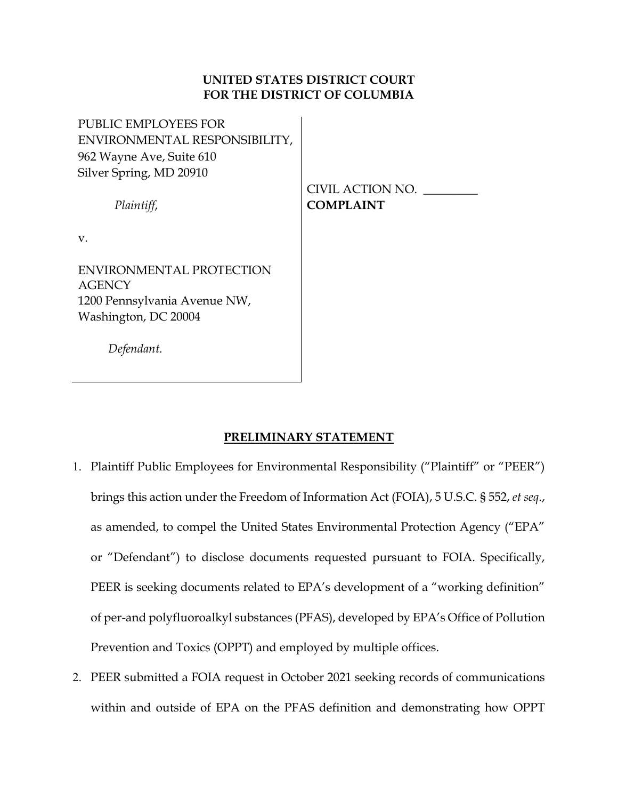## **UNITED STATES DISTRICT COURT FOR THE DISTRICT OF COLUMBIA**

PUBLIC EMPLOYEES FOR ENVIRONMENTAL RESPONSIBILITY, 962 Wayne Ave, Suite 610 Silver Spring, MD 20910

*Plaintiff*,

CIVIL ACTION NO. \_\_\_\_\_\_\_\_\_ **COMPLAINT**

v.

ENVIRONMENTAL PROTECTION **AGENCY** 1200 Pennsylvania Avenue NW, Washington, DC 20004

 *Defendant.*

# **PRELIMINARY STATEMENT**

- 1. Plaintiff Public Employees for Environmental Responsibility ("Plaintiff" or "PEER") brings this action under the Freedom of Information Act (FOIA), 5 U.S.C. § 552, *et seq*., as amended, to compel the United States Environmental Protection Agency ("EPA" or "Defendant") to disclose documents requested pursuant to FOIA. Specifically, PEER is seeking documents related to EPA's development of a "working definition" of per-and polyfluoroalkyl substances (PFAS), developed by EPA's Office of Pollution Prevention and Toxics (OPPT) and employed by multiple offices.
- 2. PEER submitted a FOIA request in October 2021 seeking records of communications within and outside of EPA on the PFAS definition and demonstrating how OPPT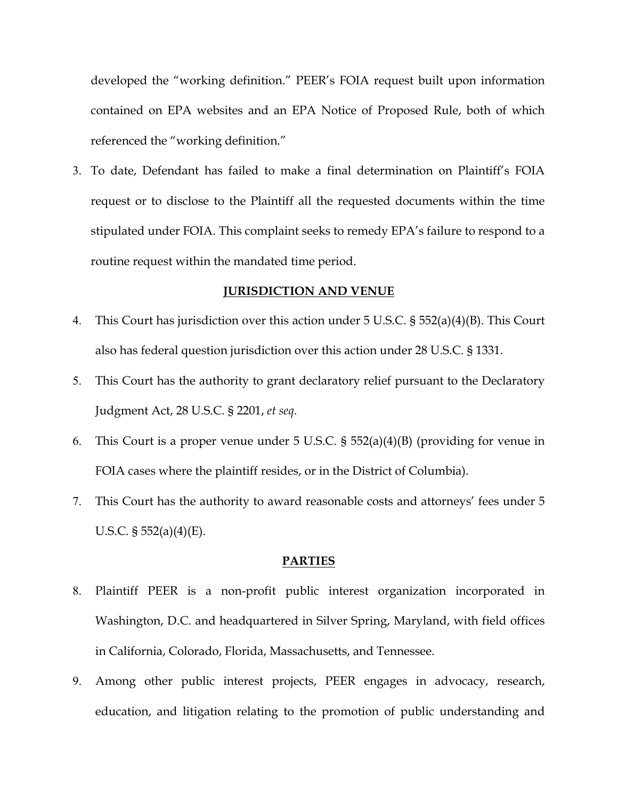developed the "working definition." PEER's FOIA request built upon information contained on EPA websites and an EPA Notice of Proposed Rule, both of which referenced the "working definition."

3. To date, Defendant has failed to make a final determination on Plaintiff's FOIA request or to disclose to the Plaintiff all the requested documents within the time stipulated under FOIA. This complaint seeks to remedy EPA's failure to respond to a routine request within the mandated time period.

### **JURISDICTION AND VENUE**

- 4. This Court has jurisdiction over this action under 5 U.S.C. § 552(a)(4)(B). This Court also has federal question jurisdiction over this action under 28 U.S.C. § 1331.
- 5. This Court has the authority to grant declaratory relief pursuant to the Declaratory Judgment Act, 28 U.S.C. § 2201, *et seq*.
- 6. This Court is a proper venue under 5 U.S.C. § 552(a)(4)(B) (providing for venue in FOIA cases where the plaintiff resides, or in the District of Columbia).
- 7. This Court has the authority to award reasonable costs and attorneys' fees under 5 U.S.C.  $\S 552(a)(4)(E)$ .

#### **PARTIES**

- 8. Plaintiff PEER is a non-profit public interest organization incorporated in Washington, D.C. and headquartered in Silver Spring, Maryland, with field offices in California, Colorado, Florida, Massachusetts, and Tennessee.
- 9. Among other public interest projects, PEER engages in advocacy, research, education, and litigation relating to the promotion of public understanding and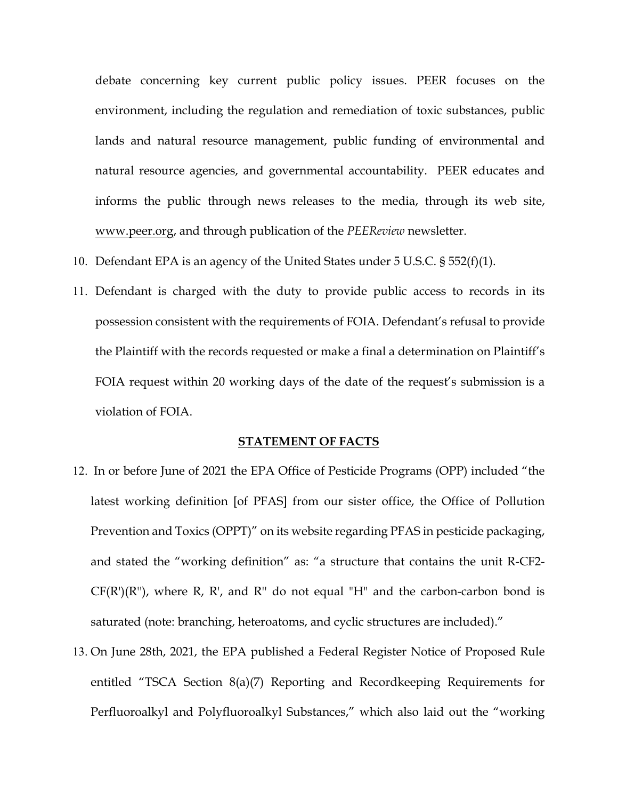debate concerning key current public policy issues. PEER focuses on the environment, including the regulation and remediation of toxic substances, public lands and natural resource management, public funding of environmental and natural resource agencies, and governmental accountability. PEER educates and informs the public through news releases to the media, through its web site, [www.peer.org,](http://www.peer.org/) and through publication of the *PEEReview* newsletter.

- 10. Defendant EPA is an agency of the United States under 5 U.S.C. § 552(f)(1).
- 11. Defendant is charged with the duty to provide public access to records in its possession consistent with the requirements of FOIA. Defendant's refusal to provide the Plaintiff with the records requested or make a final a determination on Plaintiff's FOIA request within 20 working days of the date of the request's submission is a violation of FOIA.

### **STATEMENT OF FACTS**

- 12. In or before June of 2021 the EPA Office of Pesticide Programs (OPP) included "the latest working definition [of PFAS] from our sister office, the Office of Pollution Prevention and Toxics (OPPT)" on its website regarding PFAS in pesticide packaging, and stated the "working definition" as: "a structure that contains the unit R-CF2-  $CF(R')(R'')$ , where R, R', and R'' do not equal "H" and the carbon-carbon bond is saturated (note: branching, heteroatoms, and cyclic structures are included)."
- 13. On June 28th, 2021, the EPA published a Federal Register Notice of Proposed Rule entitled "TSCA Section 8(a)(7) Reporting and Recordkeeping Requirements for Perfluoroalkyl and Polyfluoroalkyl Substances," which also laid out the "working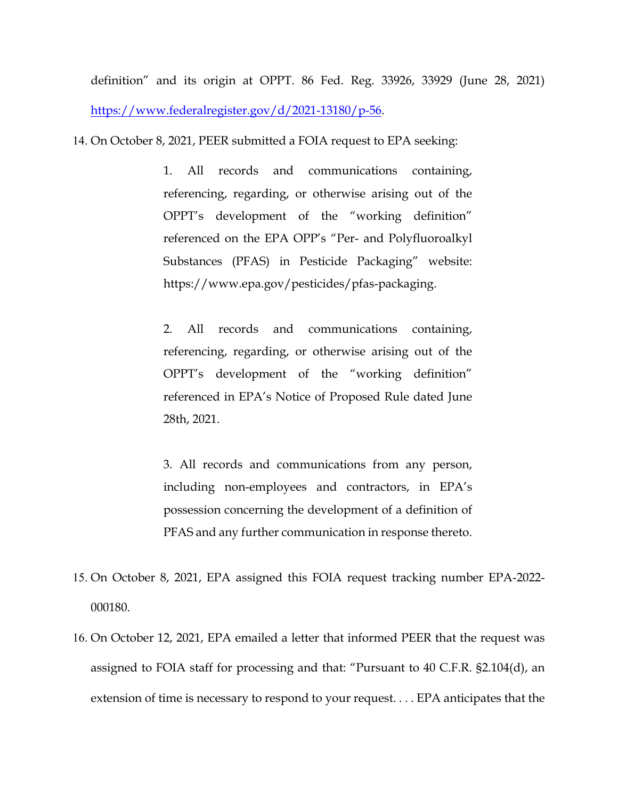definition" and its origin at OPPT. 86 Fed. Reg. 33926, 33929 (June 28, 2021) [https://www.federalregister.gov/d/2021-13180/p-56.](https://www.federalregister.gov/d/2021-13180/p-56)

14. On October 8, 2021, PEER submitted a FOIA request to EPA seeking:

1. All records and communications containing, referencing, regarding, or otherwise arising out of the OPPT's development of the "working definition" referenced on the EPA OPP's "Per- and Polyfluoroalkyl Substances (PFAS) in Pesticide Packaging" website: https://www.epa.gov/pesticides/pfas-packaging.

2. All records and communications containing, referencing, regarding, or otherwise arising out of the OPPT's development of the "working definition" referenced in EPA's Notice of Proposed Rule dated June 28th, 2021.

3. All records and communications from any person, including non-employees and contractors, in EPA's possession concerning the development of a definition of PFAS and any further communication in response thereto.

- 15. On October 8, 2021, EPA assigned this FOIA request tracking number EPA-2022- 000180.
- 16. On October 12, 2021, EPA emailed a letter that informed PEER that the request was assigned to FOIA staff for processing and that: "Pursuant to 40 C.F.R. §2.104(d), an extension of time is necessary to respond to your request. . . . EPA anticipates that the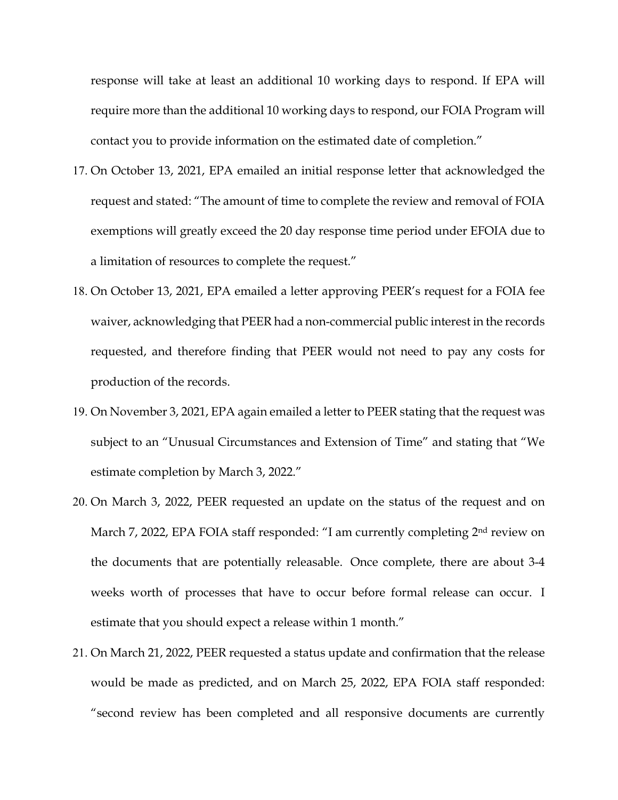response will take at least an additional 10 working days to respond. If EPA will require more than the additional 10 working days to respond, our FOIA Program will contact you to provide information on the estimated date of completion."

- 17. On October 13, 2021, EPA emailed an initial response letter that acknowledged the request and stated: "The amount of time to complete the review and removal of FOIA exemptions will greatly exceed the 20 day response time period under EFOIA due to a limitation of resources to complete the request."
- 18. On October 13, 2021, EPA emailed a letter approving PEER's request for a FOIA fee waiver, acknowledging that PEER had a non-commercial public interest in the records requested, and therefore finding that PEER would not need to pay any costs for production of the records.
- 19. On November 3, 2021, EPA again emailed a letter to PEER stating that the request was subject to an "Unusual Circumstances and Extension of Time" and stating that "We estimate completion by March 3, 2022."
- 20. On March 3, 2022, PEER requested an update on the status of the request and on March 7, 2022, EPA FOIA staff responded: "I am currently completing 2<sup>nd</sup> review on the documents that are potentially releasable. Once complete, there are about 3-4 weeks worth of processes that have to occur before formal release can occur. I estimate that you should expect a release within 1 month."
- 21. On March 21, 2022, PEER requested a status update and confirmation that the release would be made as predicted, and on March 25, 2022, EPA FOIA staff responded: "second review has been completed and all responsive documents are currently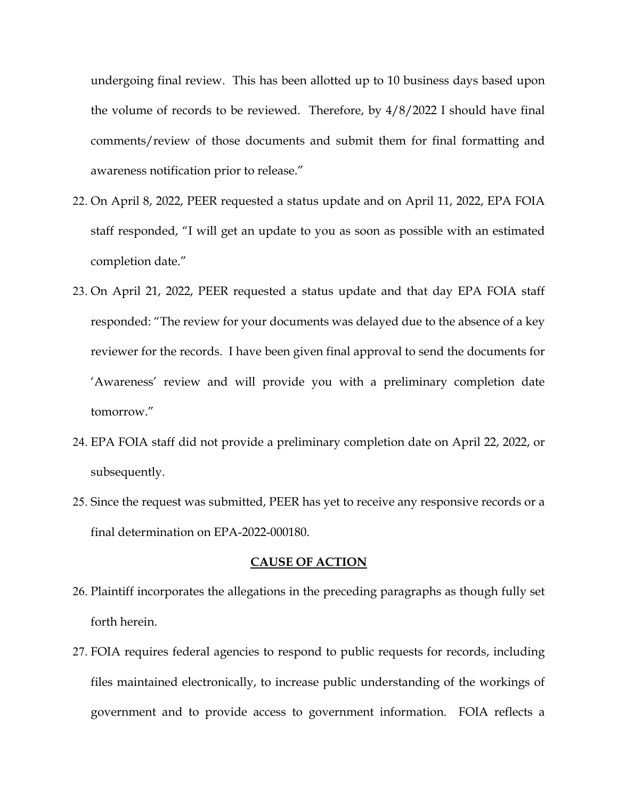undergoing final review. This has been allotted up to 10 business days based upon the volume of records to be reviewed. Therefore, by 4/8/2022 I should have final comments/review of those documents and submit them for final formatting and awareness notification prior to release."

- 22. On April 8, 2022, PEER requested a status update and on April 11, 2022, EPA FOIA staff responded, "I will get an update to you as soon as possible with an estimated completion date."
- 23. On April 21, 2022, PEER requested a status update and that day EPA FOIA staff responded: "The review for your documents was delayed due to the absence of a key reviewer for the records. I have been given final approval to send the documents for 'Awareness' review and will provide you with a preliminary completion date tomorrow."
- 24. EPA FOIA staff did not provide a preliminary completion date on April 22, 2022, or subsequently.
- 25. Since the request was submitted, PEER has yet to receive any responsive records or a final determination on EPA-2022-000180.

#### **CAUSE OF ACTION**

- 26. Plaintiff incorporates the allegations in the preceding paragraphs as though fully set forth herein.
- 27. FOIA requires federal agencies to respond to public requests for records, including files maintained electronically, to increase public understanding of the workings of government and to provide access to government information. FOIA reflects a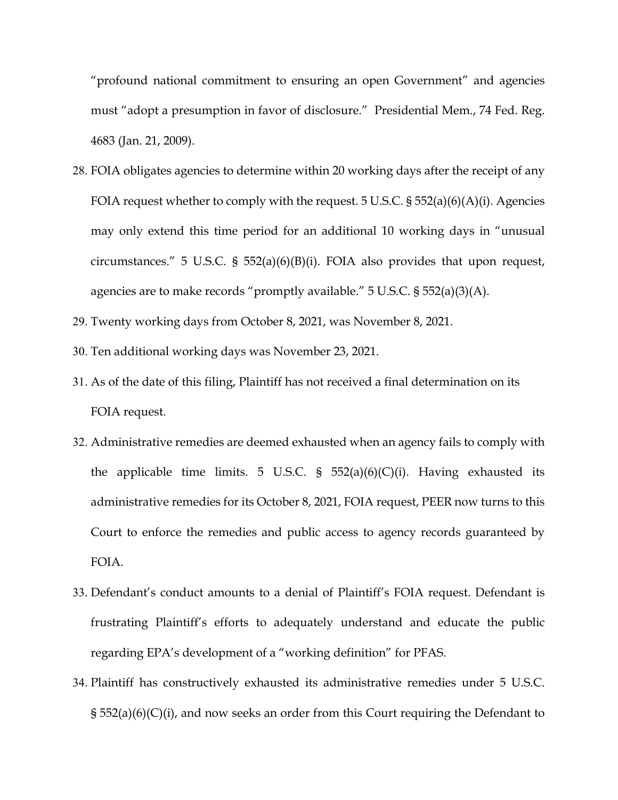"profound national commitment to ensuring an open Government" and agencies must "adopt a presumption in favor of disclosure." Presidential Mem., 74 Fed. Reg. 4683 (Jan. 21, 2009).

- 28. FOIA obligates agencies to determine within 20 working days after the receipt of any FOIA request whether to comply with the request. 5 U.S.C. § 552(a)(6)(A)(i). Agencies may only extend this time period for an additional 10 working days in "unusual circumstances." 5 U.S.C. § 552(a)(6)(B)(i). FOIA also provides that upon request, agencies are to make records "promptly available." 5 U.S.C. § 552(a)(3)(A).
- 29. Twenty working days from October 8, 2021, was November 8, 2021.
- 30. Ten additional working days was November 23, 2021.
- 31. As of the date of this filing, Plaintiff has not received a final determination on its FOIA request.
- 32. Administrative remedies are deemed exhausted when an agency fails to comply with the applicable time limits. 5 U.S.C. §  $552(a)(6)(C)(i)$ . Having exhausted its administrative remedies for its October 8, 2021, FOIA request, PEER now turns to this Court to enforce the remedies and public access to agency records guaranteed by FOIA.
- 33. Defendant's conduct amounts to a denial of Plaintiff's FOIA request. Defendant is frustrating Plaintiff's efforts to adequately understand and educate the public regarding EPA's development of a "working definition" for PFAS.
- 34. Plaintiff has constructively exhausted its administrative remedies under 5 U.S.C. § 552(a)(6)(C)(i), and now seeks an order from this Court requiring the Defendant to